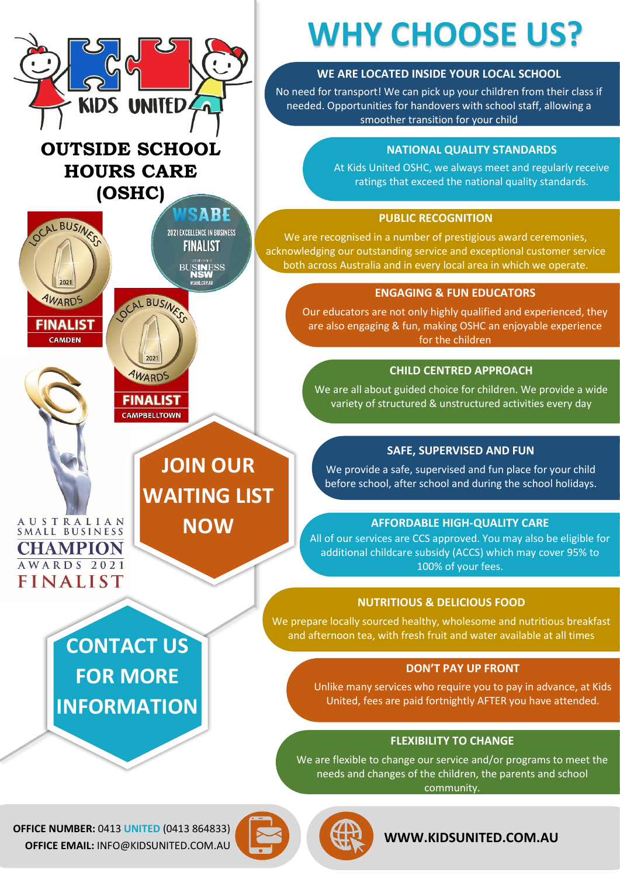

**OFFICE NUMBER:** 0413 **UNITED** (0413 864833) **OFFICE EMAIL:** INFO@KIDSUNITED.COM.AU